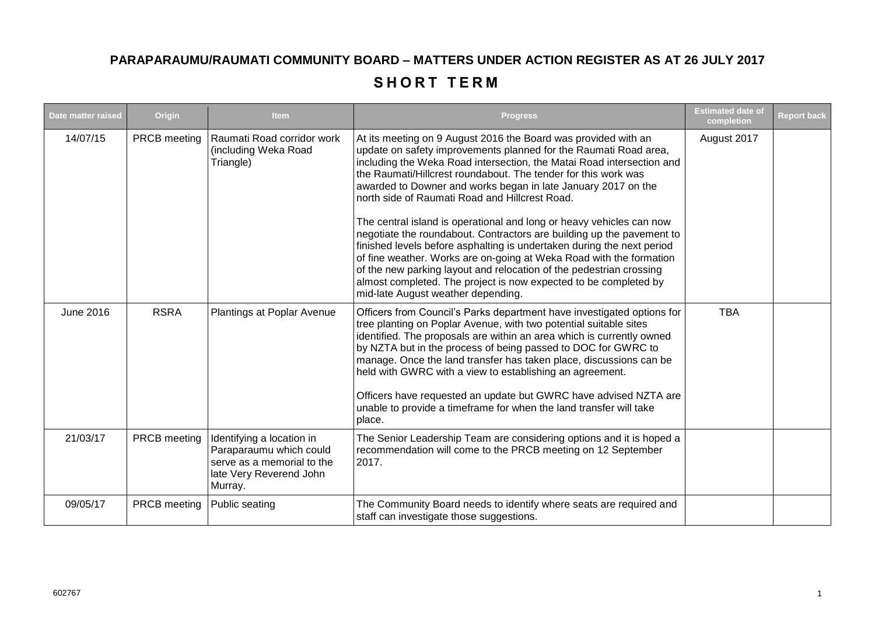## **PARAPARAUMU/RAUMATI COMMUNITY BOARD – MATTERS UNDER ACTION REGISTER AS AT 26 JULY 2017**

## **SHORT TERM**

| Date matter raised | Origin       | <b>Item</b>                                                                                                              | <b>Progress</b>                                                                                                                                                                                                                                                                                                                                                                                                                                                                                                                                                                                                                                                                                                                                                                                                                                                                     | <b>Estimated date of</b><br>completion | <b>Report back</b> |
|--------------------|--------------|--------------------------------------------------------------------------------------------------------------------------|-------------------------------------------------------------------------------------------------------------------------------------------------------------------------------------------------------------------------------------------------------------------------------------------------------------------------------------------------------------------------------------------------------------------------------------------------------------------------------------------------------------------------------------------------------------------------------------------------------------------------------------------------------------------------------------------------------------------------------------------------------------------------------------------------------------------------------------------------------------------------------------|----------------------------------------|--------------------|
| 14/07/15           | PRCB meeting | Raumati Road corridor work<br>(including Weka Road<br>Triangle)                                                          | At its meeting on 9 August 2016 the Board was provided with an<br>update on safety improvements planned for the Raumati Road area,<br>including the Weka Road intersection, the Matai Road intersection and<br>the Raumati/Hillcrest roundabout. The tender for this work was<br>awarded to Downer and works began in late January 2017 on the<br>north side of Raumati Road and Hillcrest Road.<br>The central island is operational and long or heavy vehicles can now<br>negotiate the roundabout. Contractors are building up the pavement to<br>finished levels before asphalting is undertaken during the next period<br>of fine weather. Works are on-going at Weka Road with the formation<br>of the new parking layout and relocation of the pedestrian crossing<br>almost completed. The project is now expected to be completed by<br>mid-late August weather depending. | August 2017                            |                    |
| <b>June 2016</b>   | <b>RSRA</b>  | Plantings at Poplar Avenue                                                                                               | Officers from Council's Parks department have investigated options for<br>tree planting on Poplar Avenue, with two potential suitable sites<br>identified. The proposals are within an area which is currently owned<br>by NZTA but in the process of being passed to DOC for GWRC to<br>manage. Once the land transfer has taken place, discussions can be<br>held with GWRC with a view to establishing an agreement.<br>Officers have requested an update but GWRC have advised NZTA are<br>unable to provide a timeframe for when the land transfer will take<br>place.                                                                                                                                                                                                                                                                                                         | <b>TBA</b>                             |                    |
| 21/03/17           | PRCB meeting | Identifying a location in<br>Paraparaumu which could<br>serve as a memorial to the<br>late Very Reverend John<br>Murray. | The Senior Leadership Team are considering options and it is hoped a<br>recommendation will come to the PRCB meeting on 12 September<br>2017.                                                                                                                                                                                                                                                                                                                                                                                                                                                                                                                                                                                                                                                                                                                                       |                                        |                    |
| 09/05/17           | PRCB meeting | Public seating                                                                                                           | The Community Board needs to identify where seats are required and<br>staff can investigate those suggestions.                                                                                                                                                                                                                                                                                                                                                                                                                                                                                                                                                                                                                                                                                                                                                                      |                                        |                    |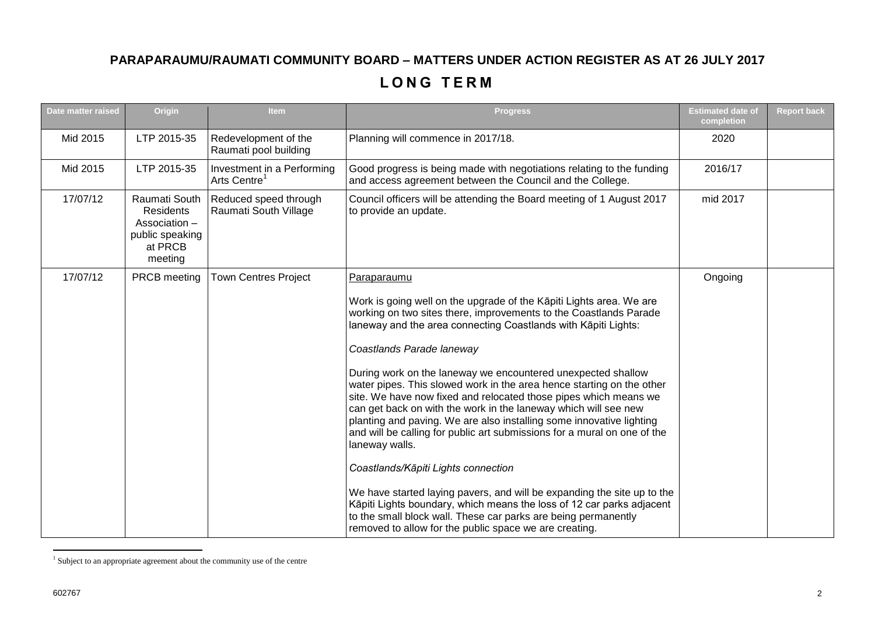## **PARAPARAUMU/RAUMATI COMMUNITY BOARD – MATTERS UNDER ACTION REGISTER AS AT 26 JULY 2017**

## **L O N G T E R M**

| Date matter raised | Origin                                                                                      | <b>Item</b>                                            | <b>Progress</b>                                                                                                                                                                                                                                                                                                                                                                                                                                                                                                                                                                                                                                                                                                                                                                                                                                                                                                                                                                                                                     | <b>Estimated date of</b><br>completion | <b>Report back</b> |
|--------------------|---------------------------------------------------------------------------------------------|--------------------------------------------------------|-------------------------------------------------------------------------------------------------------------------------------------------------------------------------------------------------------------------------------------------------------------------------------------------------------------------------------------------------------------------------------------------------------------------------------------------------------------------------------------------------------------------------------------------------------------------------------------------------------------------------------------------------------------------------------------------------------------------------------------------------------------------------------------------------------------------------------------------------------------------------------------------------------------------------------------------------------------------------------------------------------------------------------------|----------------------------------------|--------------------|
| Mid 2015           | LTP 2015-35                                                                                 | Redevelopment of the<br>Raumati pool building          | Planning will commence in 2017/18.                                                                                                                                                                                                                                                                                                                                                                                                                                                                                                                                                                                                                                                                                                                                                                                                                                                                                                                                                                                                  | 2020                                   |                    |
| Mid 2015           | LTP 2015-35                                                                                 | Investment in a Performing<br>Arts Centre <sup>1</sup> | Good progress is being made with negotiations relating to the funding<br>and access agreement between the Council and the College.                                                                                                                                                                                                                                                                                                                                                                                                                                                                                                                                                                                                                                                                                                                                                                                                                                                                                                  | 2016/17                                |                    |
| 17/07/12           | Raumati South<br><b>Residents</b><br>Association -<br>public speaking<br>at PRCB<br>meeting | Reduced speed through<br>Raumati South Village         | Council officers will be attending the Board meeting of 1 August 2017<br>to provide an update.                                                                                                                                                                                                                                                                                                                                                                                                                                                                                                                                                                                                                                                                                                                                                                                                                                                                                                                                      | mid 2017                               |                    |
| 17/07/12           | PRCB meeting                                                                                | <b>Town Centres Project</b>                            | Paraparaumu<br>Work is going well on the upgrade of the Kāpiti Lights area. We are<br>working on two sites there, improvements to the Coastlands Parade<br>laneway and the area connecting Coastlands with Kāpiti Lights:<br>Coastlands Parade laneway<br>During work on the laneway we encountered unexpected shallow<br>water pipes. This slowed work in the area hence starting on the other<br>site. We have now fixed and relocated those pipes which means we<br>can get back on with the work in the laneway which will see new<br>planting and paving. We are also installing some innovative lighting<br>and will be calling for public art submissions for a mural on one of the<br>laneway walls.<br>Coastlands/Kāpiti Lights connection<br>We have started laying pavers, and will be expanding the site up to the<br>Kāpiti Lights boundary, which means the loss of 12 car parks adjacent<br>to the small block wall. These car parks are being permanently<br>removed to allow for the public space we are creating. | Ongoing                                |                    |

 1 Subject to an appropriate agreement about the community use of the centre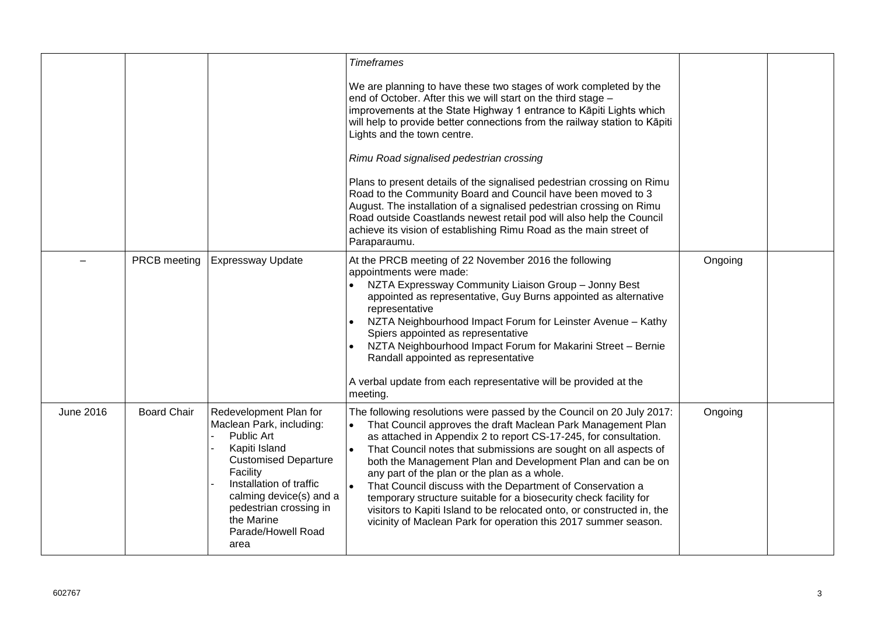|           |                    |                                                                                                                                                                                                                                                          | <b>Timeframes</b><br>We are planning to have these two stages of work completed by the<br>end of October. After this we will start on the third stage -<br>improvements at the State Highway 1 entrance to Kāpiti Lights which<br>will help to provide better connections from the railway station to Kāpiti<br>Lights and the town centre.<br>Rimu Road signalised pedestrian crossing<br>Plans to present details of the signalised pedestrian crossing on Rimu<br>Road to the Community Board and Council have been moved to 3<br>August. The installation of a signalised pedestrian crossing on Rimu<br>Road outside Coastlands newest retail pod will also help the Council<br>achieve its vision of establishing Rimu Road as the main street of<br>Paraparaumu. |         |  |
|-----------|--------------------|----------------------------------------------------------------------------------------------------------------------------------------------------------------------------------------------------------------------------------------------------------|-------------------------------------------------------------------------------------------------------------------------------------------------------------------------------------------------------------------------------------------------------------------------------------------------------------------------------------------------------------------------------------------------------------------------------------------------------------------------------------------------------------------------------------------------------------------------------------------------------------------------------------------------------------------------------------------------------------------------------------------------------------------------|---------|--|
|           | PRCB meeting       | <b>Expressway Update</b>                                                                                                                                                                                                                                 | At the PRCB meeting of 22 November 2016 the following<br>appointments were made:<br>NZTA Expressway Community Liaison Group - Jonny Best<br>appointed as representative, Guy Burns appointed as alternative<br>representative<br>NZTA Neighbourhood Impact Forum for Leinster Avenue - Kathy<br>Spiers appointed as representative<br>NZTA Neighbourhood Impact Forum for Makarini Street - Bernie<br>Randall appointed as representative<br>A verbal update from each representative will be provided at the<br>meeting.                                                                                                                                                                                                                                               | Ongoing |  |
| June 2016 | <b>Board Chair</b> | Redevelopment Plan for<br>Maclean Park, including:<br>Public Art<br>Kapiti Island<br><b>Customised Departure</b><br>Facility<br>Installation of traffic<br>calming device(s) and a<br>pedestrian crossing in<br>the Marine<br>Parade/Howell Road<br>area | The following resolutions were passed by the Council on 20 July 2017:<br>That Council approves the draft Maclean Park Management Plan<br>as attached in Appendix 2 to report CS-17-245, for consultation.<br>That Council notes that submissions are sought on all aspects of<br>both the Management Plan and Development Plan and can be on<br>any part of the plan or the plan as a whole.<br>That Council discuss with the Department of Conservation a<br>temporary structure suitable for a biosecurity check facility for<br>visitors to Kapiti Island to be relocated onto, or constructed in, the<br>vicinity of Maclean Park for operation this 2017 summer season.                                                                                            | Ongoing |  |